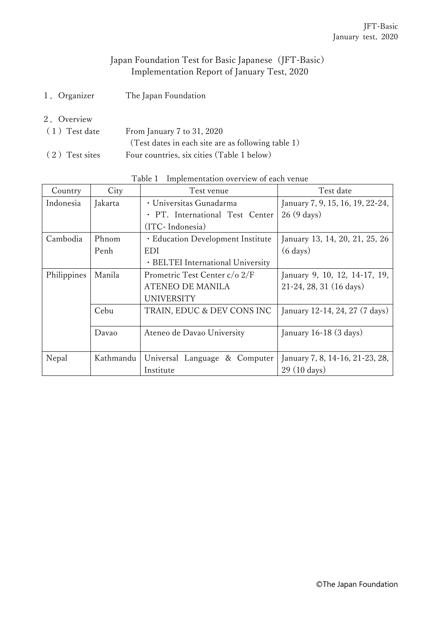## Japan Foundation Test for Basic Japanese (JFT-Basic) Implementation Report of January Test, 2020

- 1.Organizer The Japan Foundation
- 2.Overview
- (1)Test date From January 7 to 31, 2020 (Test dates in each site are as following table 1) (2)Test sites Four countries, six cities (Table 1 below)

| Country     | City      | Test date<br>Test venue           |                                    |
|-------------|-----------|-----------------------------------|------------------------------------|
| Indonesia   | Jakarta   | · Universitas Gunadarma           | January 7, 9, 15, 16, 19, 22-24,   |
|             |           | · PT. International Test Center   | $26(9 \text{ days})$               |
|             |           | (ITC-Indonesia)                   |                                    |
| Cambodia    | Phnom     | · Education Development Institute | January 13, 14, 20, 21, 25, 26     |
|             | Penh      | EDI                               | $(6 \text{ days})$                 |
|             |           | · BELTEI International University |                                    |
| Philippines | Manila    | Prometric Test Center c/o 2/F     | January 9, 10, 12, 14-17, 19,      |
|             |           | ATENEO DE MANILA                  | 21-24, 28, 31 (16 days)            |
|             |           | <b>UNIVERSITY</b>                 |                                    |
|             | Cebu      | TRAIN, EDUC & DEV CONS INC        | January 12-14, 24, 27 (7 days)     |
|             |           |                                   |                                    |
|             | Davao     | Ateneo de Davao University        | January $16-18$ $(3 \text{ days})$ |
|             |           |                                   |                                    |
| Nepal       | Kathmandu | Universal Language & Computer     | January 7, 8, 14-16, 21-23, 28,    |
|             |           | Institute                         | 29 (10 days)                       |

## Table 1 Implementation overview of each venue